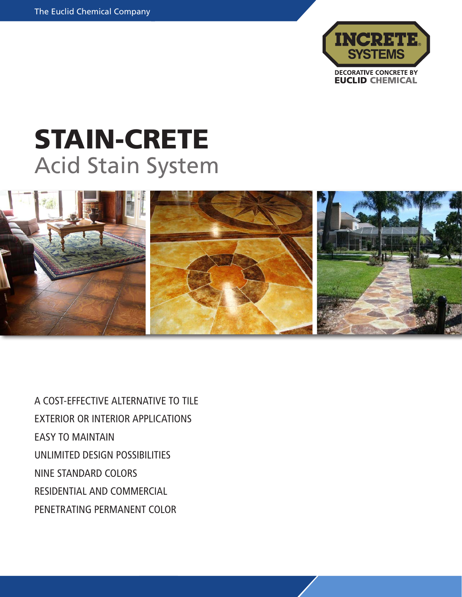

## STAIN-CRETE Acid Stain System



A COST-EFFECTIVE ALTERNATIVE TO TILE EXTERIOR OR INTERIOR APPLICATIONS EASY TO MAINTAIN UNLIMITED DESIGN POSSIBILITIES NINE STANDARD COLORS RESIDENTIAL AND COMMERCIAL PENETRATING PERMANENT COLOR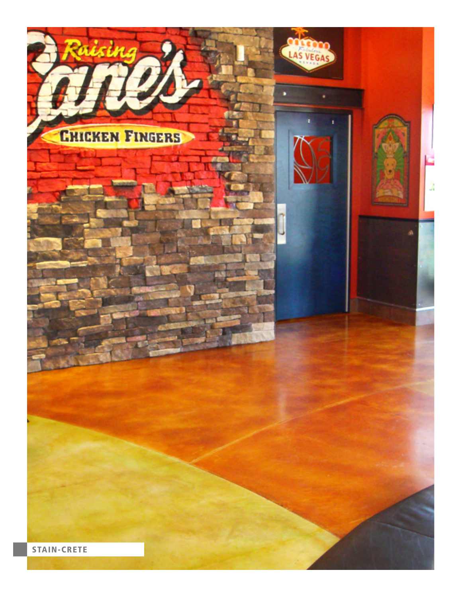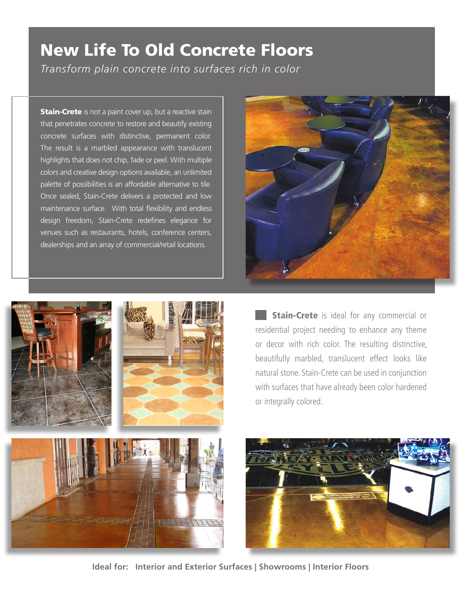## New Life To Old Concrete Floors *Transform plain concrete into surfaces rich in color*

**Stain-Crete** is not a paint cover up, but a reactive stain that penetrates concrete to restore and beautify existing concrete surfaces with distinctive, permanent color. The result is a marbled appearance with translucent highlights that does not chip, fade or peel. With multiple colors and creative design options available, an unlimited palette of possibilities is an affordable alternative to tile. Once sealed, Stain-Crete delivers a protected and low maintenance surface. With total flexibility and endless design freedom, Stain-Crete redefines elegance for venues such as restaurants, hotels, conference centers, dealerships and an array of commercial/retail locations.







**Stain-Crete** is ideal for any commercial or residential project needing to enhance any theme or decor with rich color. The resulting distinctive, beautifully marbled, translucent effect looks like natural stone. Stain-Crete can be used in conjunction with surfaces that have already been color hardened or integrally colored.



**Ideal for: Interior and Exterior Surfaces | Showrooms | Interior Floors**